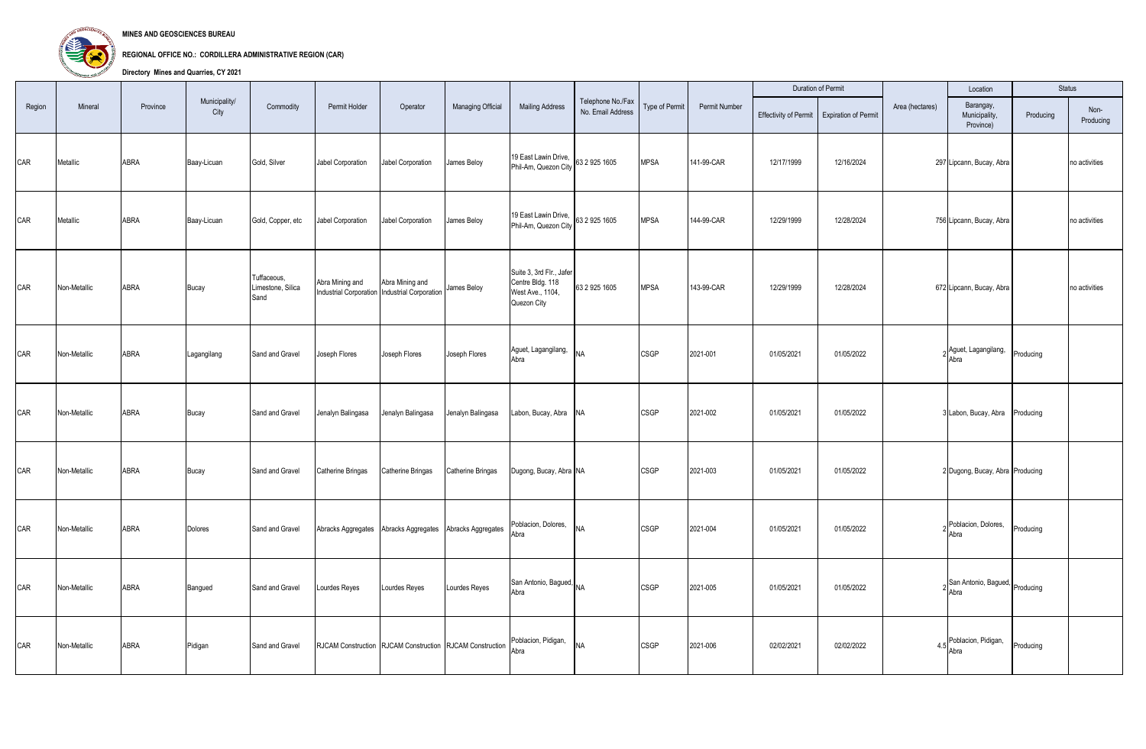

**MINES AND GEOSCIENCES BUREAU**

**REGIONAL OFFICE NO.: CORDILLERA ADMINISTRATIVE REGION (CAR)**

**Directory Mines and Quarries, CY 2021**

|        |              |          |                       |                                          |                   |                                                                  |                                                          |                                                                                 |                                        |                |               |                       | Duration of Permit          |                 | Location                                |           | Status            |
|--------|--------------|----------|-----------------------|------------------------------------------|-------------------|------------------------------------------------------------------|----------------------------------------------------------|---------------------------------------------------------------------------------|----------------------------------------|----------------|---------------|-----------------------|-----------------------------|-----------------|-----------------------------------------|-----------|-------------------|
| Region | Mineral      | Province | Municipality/<br>City | Commodity                                | Permit Holder     | Operator                                                         | Managing Official                                        | <b>Mailing Address</b>                                                          | Telephone No./Fax<br>No. Email Address | Type of Permit | Permit Number | Effectivity of Permit | <b>Expiration of Permit</b> | Area (hectares) | Barangay,<br>Municipality,<br>Province) | Producing | Non-<br>Producing |
| CAR    | Metallic     | ABRA     | Baay-Licuan           | Gold, Silver                             | Jabel Corporation | Jabel Corporation                                                | James Beloy                                              | 19 East Lawin Drive,<br>Phil-Am, Quezon City                                    | 63 2 925 1605                          | <b>MPSA</b>    | 141-99-CAR    | 12/17/1999            | 12/16/2024                  |                 | 297 Lipcann, Bucay, Abra                |           | no activities     |
| CAR    | Metallic     | ABRA     | Baay-Licuan           | Gold, Copper, etc                        | Jabel Corporation | Jabel Corporation                                                | James Beloy                                              | 19 East Lawin Drive,<br>Phil-Am, Quezon City                                    | 63 2 925 1605                          | <b>MPSA</b>    | 144-99-CAR    | 12/29/1999            | 12/28/2024                  |                 | 756 Lipcann, Bucay, Abra                |           | no activities     |
| CAR    | Non-Metallic | ABRA     | Bucay                 | Tuffaceous,<br>Limestone, Silica<br>Sand | Abra Mining and   | Abra Mining and<br>Industrial Corporation Industrial Corporation | James Beloy                                              | Suite 3, 3rd Flr., Jafer<br>Centre Bldg. 118<br>West Ave., 1104,<br>Quezon City | 63 2 925 1605                          | <b>MPSA</b>    | 143-99-CAR    | 12/29/1999            | 12/28/2024                  |                 | 672 Lipcann, Bucay, Abra                |           | no activities     |
| CAR    | Non-Metallic | ABRA     | Lagangilang           | Sand and Gravel                          | Joseph Flores     | Joseph Flores                                                    | Joseph Flores                                            | Aguet, Lagangilang,<br>Abra                                                     | <b>NA</b>                              | <b>CSGP</b>    | 2021-001      | 01/05/2021            | 01/05/2022                  |                 | Aguet, Lagangilang,<br>Abra             | Producing |                   |
| CAR    | Non-Metallic | ABRA     | Bucay                 | Sand and Gravel                          | Jenalyn Balingasa | Jenalyn Balingasa                                                | Jenalyn Balingasa                                        | Labon, Bucay, Abra NA                                                           |                                        | <b>CSGP</b>    | 2021-002      | 01/05/2021            | 01/05/2022                  |                 | 3 Labon, Bucay, Abra Producing          |           |                   |
| CAR    | Non-Metallic | ABRA     | Bucay                 | Sand and Gravel                          | Catherine Bringas | Catherine Bringas                                                | Catherine Bringas                                        | Dugong, Bucay, Abra NA                                                          |                                        | <b>CSGP</b>    | 2021-003      | 01/05/2021            | 01/05/2022                  |                 | 2 Dugong, Bucay, Abra Producing         |           |                   |
| CAR    | Non-Metallic | ABRA     | Dolores               | Sand and Gravel                          |                   | Abracks Aggregates Abracks Aggregates Abracks Aggregates         |                                                          | Poblacion, Dolores,<br>Abra                                                     | <b>NA</b>                              | <b>CSGP</b>    | 2021-004      | 01/05/2021            | 01/05/2022                  |                 | Poblacion, Dolores,<br>Abra             | Producing |                   |
| CAR    | Non-Metallic | ABRA     | Bangued               | Sand and Gravel                          | Lourdes Reyes     | Lourdes Reyes                                                    | Lourdes Reyes                                            | San Antonio, Bagued, NA<br>Abra                                                 |                                        | <b>CSGP</b>    | 2021-005      | 01/05/2021            | 01/05/2022                  |                 | San Antonio, Bagued, Producing<br>Abra  |           |                   |
| CAR    | Non-Metallic | ABRA     | Pidigan               | Sand and Gravel                          |                   |                                                                  | RJCAM Construction RJCAM Construction RJCAM Construction | Poblacion, Pidigan,<br>Abra                                                     | <b>NA</b>                              | <b>CSGP</b>    | 2021-006      | 02/02/2021            | 02/02/2022                  |                 | 4.5 Poblacion, Pidigan,<br>Abra         | Producing |                   |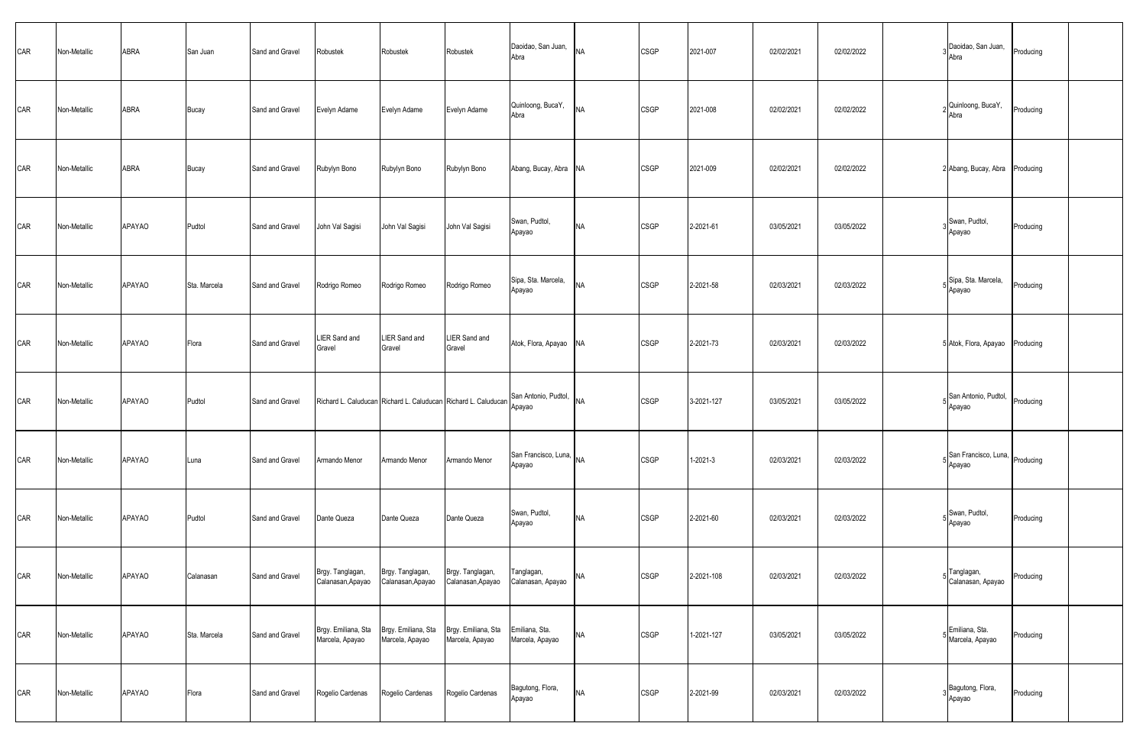| CAR | Non-Metallic | ABRA          | San Juan     | Sand and Gravel | Robustek                               | Robustek                               | Robustek                                                       | Daoidao, San Juan,<br>Abra        | <b>NA</b> | <b>CSGP</b> | 2021-007   | 02/02/2021 | 02/02/2022 | Daoidao, San Juan,<br>Abra        | Producing |  |
|-----|--------------|---------------|--------------|-----------------|----------------------------------------|----------------------------------------|----------------------------------------------------------------|-----------------------------------|-----------|-------------|------------|------------|------------|-----------------------------------|-----------|--|
| CAR | Non-Metallic | ABRA          | Bucay        | Sand and Gravel | Evelyn Adame                           | Evelyn Adame                           | Evelyn Adame                                                   | Quinloong, BucaY,<br>Abra         | <b>NA</b> | <b>CSGP</b> | 2021-008   | 02/02/2021 | 02/02/2022 | Quinloong, BucaY,<br>Abra         | Producing |  |
| CAR | Non-Metallic | ABRA          | Bucay        | Sand and Gravel | Rubylyn Bono                           | Rubylyn Bono                           | Rubylyn Bono                                                   | Abang, Bucay, Abra NA             |           | <b>CSGP</b> | 2021-009   | 02/02/2021 | 02/02/2022 | 2 Abang, Bucay, Abra Producing    |           |  |
| CAR | Non-Metallic | <b>APAYAO</b> | Pudtol       | Sand and Gravel | John Val Sagisi                        | John Val Sagisi                        | John Val Sagisi                                                | Swan, Pudtol,<br>Apayao           | <b>NA</b> | <b>CSGP</b> | 2-2021-61  | 03/05/2021 | 03/05/2022 | Swan, Pudtol,<br>Apayao           | Producing |  |
| CAR | Non-Metallic | <b>APAYAO</b> | Sta. Marcela | Sand and Gravel | Rodrigo Romeo                          | Rodrigo Romeo                          | Rodrigo Romeo                                                  | Sipa, Sta. Marcela,<br>Apayao     | <b>NA</b> | <b>CSGP</b> | 2-2021-58  | 02/03/2021 | 02/03/2022 | Sipa, Sta. Marcela,<br>Apayao     | Producing |  |
| CAR | Non-Metallic | APAYAO        | Flora        | Sand and Gravel | <b>LIER Sand and</b><br>Gravel         | LIER Sand and<br>Gravel                | LIER Sand and<br>Gravel                                        | Atok, Flora, Apayao NA            |           | <b>CSGP</b> | 2-2021-73  | 02/03/2021 | 02/03/2022 | 5 Atok, Flora, Apayao Producing   |           |  |
| CAR | Non-Metallic | APAYAO        | Pudtol       | Sand and Gravel |                                        |                                        | Richard L. Caluducan Richard L. Caluducan Richard L. Caluducan | San Antonio, Pudtol, NA<br>Apayao |           | <b>CSGP</b> | 3-2021-127 | 03/05/2021 | 03/05/2022 | San Antonio, Pudtol,<br>Apayao    | Producing |  |
| CAR | Non-Metallic | APAYAO        | Luna         | Sand and Gravel | Armando Menor                          | Armando Menor                          | Armando Menor                                                  | San Francisco, Luna, NA<br>Apayao |           | <b>CSGP</b> | 1-2021-3   | 02/03/2021 | 02/03/2022 | San Francisco, Luna,<br>Apayao    | Producing |  |
| CAR | Non-Metallic | <b>APAYAO</b> | Pudtol       | Sand and Gravel | Dante Queza                            | Dante Queza                            | Dante Queza                                                    | Swan, Pudtol,<br>Apayao           | <b>NA</b> | <b>CSGP</b> | 2-2021-60  | 02/03/2021 | 02/03/2022 | Swan, Pudtol,<br>Apayao           | Producing |  |
| CAR | Non-Metallic | APAYAO        | Calanasan    | Sand and Gravel | Brgy. Tanglagan,<br>Calanasan, Apayao  | Brgy. Tanglagan,<br>Calanasan, Apayao  | Brgy. Tanglagan,<br>Calanasan, Apayao                          | Tanglagan,<br>Calanasan, Apayao   | <b>NA</b> | <b>CSGP</b> | 2-2021-108 | 02/03/2021 | 02/03/2022 | Tanglagan,<br>5 Calanasan, Apayao | Producing |  |
| CAR | Non-Metallic | APAYAO        | Sta. Marcela | Sand and Gravel | Brgy. Emiliana, Sta<br>Marcela, Apayao | Brgy. Emiliana, Sta<br>Marcela, Apayao | Brgy. Emiliana, Sta<br>Marcela, Apayao                         | Emiliana, Sta.<br>Marcela, Apayao | <b>NA</b> | <b>CSGP</b> | 1-2021-127 | 03/05/2021 | 03/05/2022 | Emiliana, Sta.<br>Marcela, Apayao | Producing |  |
| CAR | Non-Metallic | APAYAO        | Flora        | Sand and Gravel | Rogelio Cardenas                       | Rogelio Cardenas                       | Rogelio Cardenas                                               | Bagutong, Flora,<br>Apayao        | <b>NA</b> | <b>CSGP</b> | 2-2021-99  | 02/03/2021 | 02/03/2022 | Bagutong, Flora,<br>Apayao        | Producing |  |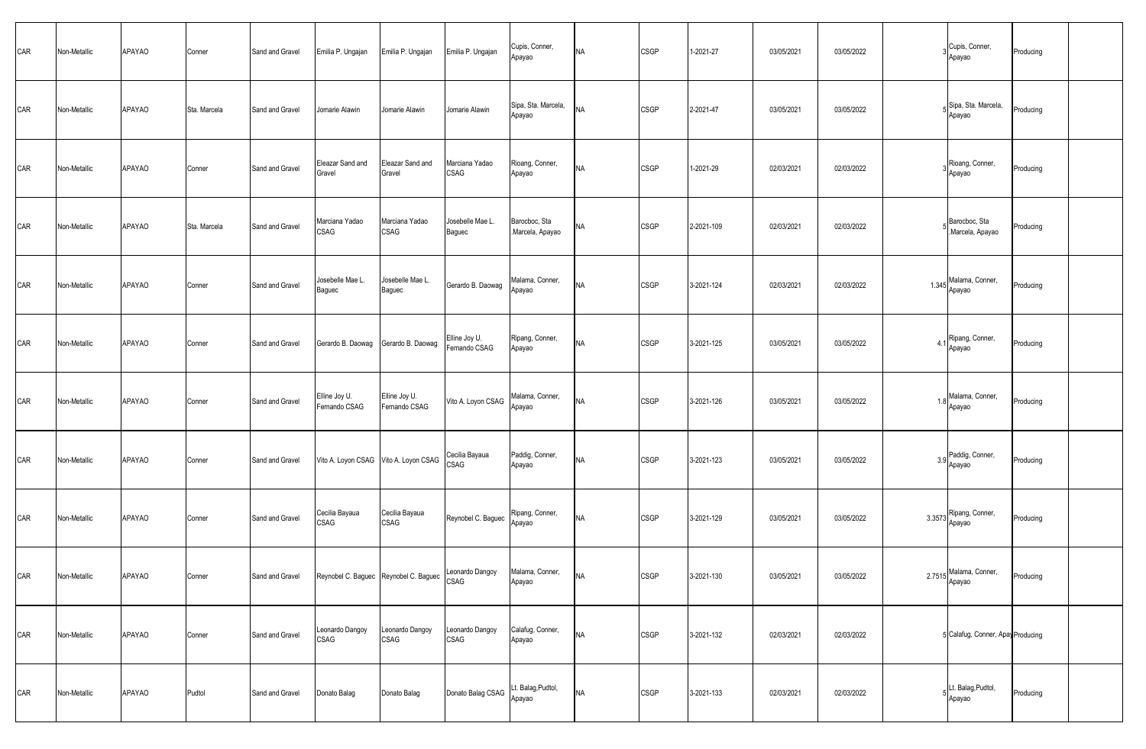| CAR | Non-Metallic | APAYAO | Conner       | Sand and Gravel | Emilia P. Ungajan                   | Emilia P. Ungajan                          | Emilia P. Ungajan                    | Cupis, Conner,<br>Apayao         | <b>NA</b> | <b>CSGP</b> | 1-2021-27  | 03/05/2021 | 03/05/2022 |        | Cupis, Conner,<br>Apayao          | Producing |  |
|-----|--------------|--------|--------------|-----------------|-------------------------------------|--------------------------------------------|--------------------------------------|----------------------------------|-----------|-------------|------------|------------|------------|--------|-----------------------------------|-----------|--|
| CAR | Non-Metallic | APAYAO | Sta. Marcela | Sand and Gravel | Jomarie Alawin                      | Jomarie Alawin                             | Jomarie Alawin                       | Sipa, Sta. Marcela,<br>Apayao    | <b>NA</b> | <b>CSGP</b> | 2-2021-47  | 03/05/2021 | 03/05/2022 |        | Sipa, Sta. Marcela,<br>Apayao     | Producing |  |
| CAR | Non-Metallic | APAYAO | Conner       | Sand and Gravel | Eleazar Sand and<br>Gravel          | Eleazar Sand and<br>Gravel                 | Marciana Yadao<br>CSAG               | Rioang, Conner,<br>Apayao        | <b>NA</b> | <b>CSGP</b> | 1-2021-29  | 02/03/2021 | 02/03/2022 |        | Rioang, Conner,<br>Apayao         | Producing |  |
| CAR | Non-Metallic | APAYAO | Sta. Marcela | Sand and Gravel | Marciana Yadao<br>CSAG              | Marciana Yadao<br><b>CSAG</b>              | Josebelle Mae L.<br>Baguec           | Barocboc, Sta<br>Marcela, Apayao | <b>NA</b> | CSGP        | 2-2021-109 | 02/03/2021 | 02/03/2022 |        | Barocboc, Sta<br>Marcela, Apayao  | Producing |  |
| CAR | Non-Metallic | APAYAO | Conner       | Sand and Gravel | Josebelle Mae L.<br>Baguec          | Josebelle Mae L.<br>Baguec                 | Gerardo B. Daowag                    | Malama, Conner,<br>Apayao        | <b>NA</b> | CSGP        | 3-2021-124 | 02/03/2021 | 02/03/2022 |        | 1.345 Malama, Conner,<br>Apayao   | Producing |  |
| CAR | Non-Metallic | APAYAO | Conner       | Sand and Gravel | Gerardo B. Daowag Gerardo B. Daowag |                                            | Elline Joy U.<br>Fernando CSAG       | Ripang, Conner,<br>Apayao        | <b>NA</b> | <b>CSGP</b> | 3-2021-125 | 03/05/2021 | 03/05/2022 | 4      | Ripang, Conner,<br>Apayao         | Producing |  |
| CAR | Non-Metallic | APAYAO | Conner       | Sand and Gravel | Elline Joy U.<br>Fernando CSAG      | Elline Joy U.<br>Fernando CSAG             | Vito A. Loyon CSAG                   | Malama, Conner,<br>Apayao        | <b>NA</b> | <b>CSGP</b> | 3-2021-126 | 03/05/2021 | 03/05/2022 |        | 18 Malama, Conner,<br>Apayao      | Producing |  |
| CAR | Non-Metallic | APAYAO | Conner       | Sand and Gravel |                                     | Vito A. Loyon CSAG Vito A. Loyon CSAG      | Cecilia Bayaua<br>CSAG               | Paddig, Conner,<br>Apayao        | <b>NA</b> | <b>CSGP</b> | 3-2021-123 | 03/05/2021 | 03/05/2022 |        | 3.9 Paddig, Conner,<br>Apayao     | Producing |  |
| CAR | Non-Metallic | APAYAO | Conner       | Sand and Gravel | Cecilia Bayaua<br>CSAG              | Cecilia Bayaua<br>CSAG                     | Reynobel C. Baguec                   | Ripang, Conner,<br>Apayao        | <b>NA</b> | <b>CSGP</b> | 3-2021-129 | 03/05/2021 | 03/05/2022 | 3.3573 | Ripang, Conner,<br>Apayao         | Producing |  |
| CAR | Non-Metallic | APAYAO | Conner       | Sand and Gravel |                                     | Reynobel C. Baguec Reynobel C. Baguec CSAG | Leonardo Dangoy Malama, Conner,      | Apayao                           | <b>NA</b> | <b>CSGP</b> | 3-2021-130 | 03/05/2021 | 03/05/2022 |        | 2.7515 Malama, Conner,<br>Apayao  | Producing |  |
| CAR | Non-Metallic | APAYAO | Conner       | Sand and Gravel | Leonardo Dangoy<br>CSAG             | Leonardo Dangoy<br><b>CSAG</b>             | Leonardo Dangoy<br>CSAG              | Calafug, Conner,<br>Apayao       | <b>NA</b> | <b>CSGP</b> | 3-2021-132 | 02/03/2021 | 02/03/2022 |        | 5 Calafug, Conner, Apay Producing |           |  |
| CAR | Non-Metallic | APAYAO | Pudtol       | Sand and Gravel | Donato Balag                        | Donato Balag                               | Donato Balag CSAG Lt. Balag, Pudtol, | Apayao                           | <b>NA</b> | <b>CSGP</b> | 3-2021-133 | 02/03/2021 | 02/03/2022 |        | Lt. Balag, Pudtol,<br>Apayao      | Producing |  |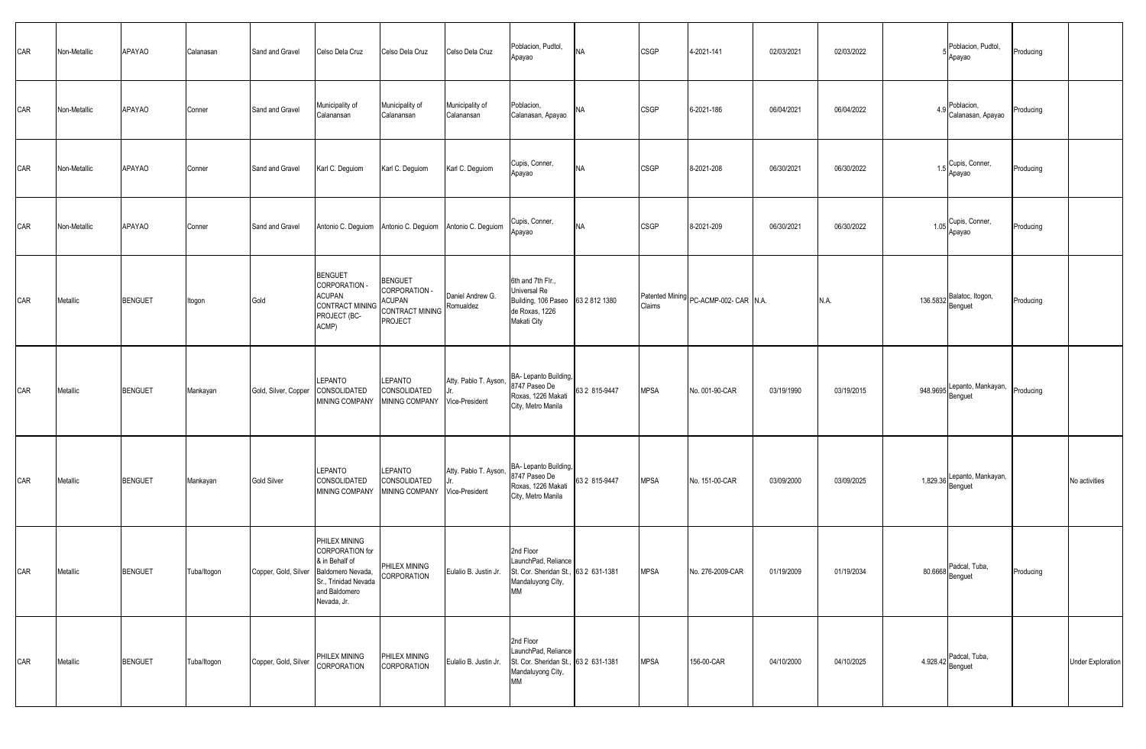| CAR | Non-Metallic | APAYAO         | Calanasan   | Sand and Gravel                        | Celso Dela Cruz                                                                                                   | Celso Dela Cruz                                                                       | Celso Dela Cruz                         | Poblacion, Pudtol,<br>Apayao                                                                                                     | <b>NA</b>     | CSGP        | 4-2021-141                            | 02/03/2021 | 02/03/2022 | Poblacion, Pudtol,<br>Apayao           | Producing |                          |
|-----|--------------|----------------|-------------|----------------------------------------|-------------------------------------------------------------------------------------------------------------------|---------------------------------------------------------------------------------------|-----------------------------------------|----------------------------------------------------------------------------------------------------------------------------------|---------------|-------------|---------------------------------------|------------|------------|----------------------------------------|-----------|--------------------------|
| CAR | Non-Metallic | <b>APAYAO</b>  | Conner      | Sand and Gravel                        | Municipality of<br>Calanansan                                                                                     | Municipality of<br>Calanansan                                                         | Municipality of<br>Calanansan           | Poblacion,<br>Calanasan, Apayao                                                                                                  | <b>NA</b>     | <b>CSGP</b> | 6-2021-186                            | 06/04/2021 | 06/04/2022 | 4.9 Poblacion,<br>Calanasan, Apayao    | Producing |                          |
| CAR | Non-Metallic | <b>APAYAO</b>  | Conner      | Sand and Gravel                        | Karl C. Deguiom                                                                                                   | Karl C. Deguiom                                                                       | Karl C. Deguiom                         | Cupis, Conner,<br>Apayao                                                                                                         | <b>NA</b>     | <b>CSGP</b> | 8-2021-208                            | 06/30/2021 | 06/30/2022 | 1.5 Cupis, Conner,<br>Apayao           | Producing |                          |
| CAR | Non-Metallic | <b>APAYAO</b>  | Conner      | Sand and Gravel                        |                                                                                                                   | Antonio C. Deguiom Antonio C. Deguiom Antonio C. Deguiom                              |                                         | Cupis, Conner,<br>Apayao                                                                                                         | <b>NA</b>     | CSGP        | 8-2021-209                            | 06/30/2021 | 06/30/2022 | 1.05 Cupis, Conner,<br>Apayao          | Producing |                          |
| CAR | Metallic     | <b>BENGUET</b> | Itogon      | Gold                                   | <b>BENGUET</b><br>CORPORATION -<br><b>ACUPAN</b><br><b>CONTRACT MINING</b><br>PROJECT (BC-<br>ACMP)               | <b>BENGUET</b><br>CORPORATION -<br><b>ACUPAN</b><br>CONTRACT MINING<br><b>PROJECT</b> | Daniel Andrew G.<br>Romualdez           | 6th and 7th Flr.,<br>Universal Re<br>Building, 106 Paseo 63 2 812 1380<br>de Roxas, 1226<br>Makati City                          |               | Claims      | Patented Mining PC-ACMP-002- CAR N.A. |            | N.A.       | 136.5832 Balatoc, Itogon,              | Producing |                          |
| CAR | Metallic     | <b>BENGUET</b> | Mankayan    | Gold, Silver, Copper                   | LEPANTO<br>CONSOLIDATED<br>MINING COMPANY                                                                         | LEPANTO<br>CONSOLIDATED<br>MINING COMPANY                                             | Atty. Pablo T. Ayson,<br>Vice-President | BA- Lepanto Building,<br>8747 Paseo De<br>Roxas, 1226 Makati<br>City, Metro Manila                                               | 63 2 815-9447 | <b>MPSA</b> | No. 001-90-CAR                        | 03/19/1990 | 03/19/2015 | 948.9695 Lepanto, Mankayan,<br>Benguet | Producing |                          |
| CAR | Metallic     | <b>BENGUET</b> | Mankayan    | Gold Silver                            | LEPANTO<br>CONSOLIDATED<br>MINING COMPANY                                                                         | LEPANTO<br>CONSOLIDATED<br>MINING COMPANY                                             | Atty. Pablo T. Ayson,<br>Vice-President | BA- Lepanto Building,<br>8747 Paseo De<br>Roxas, 1226 Makati<br>City, Metro Manila                                               | 63 2 815-9447 | <b>MPSA</b> | No. 151-00-CAR                        | 03/09/2000 | 03/09/2025 | 1,829.36 Lepanto, Mankayan,            |           | No activities            |
| CAR | Metallic     | <b>BENGUET</b> | Tuba/Itogon | Copper, Gold, Silver Baldomero Nevada, | PHILEX MINING<br><b>CORPORATION</b> for<br>& in Behalf of<br>Sr., Trinidad Nevada<br>and Baldomero<br>Nevada, Jr. | PHILEX MINING<br>CORPORATION                                                          |                                         | 2nd Floor<br>LaunchPad, Reliance<br>Eulalio B. Justin Jr. St. Cor. Sheridan St., 63 2 631-1381<br>Mandaluyong City,<br><b>MM</b> |               | <b>MPSA</b> | No. 276-2009-CAR                      | 01/19/2009 | 01/19/2034 | 80.6668 Padcal, Tuba,<br>Benguet       | Producing |                          |
| CAR | Metallic     | <b>BENGUET</b> | Tuba/Itogon | Copper, Gold, Silver                   | PHILEX MINING<br>CORPORATION                                                                                      | PHILEX MINING<br>CORPORATION                                                          | Eulalio B. Justin Jr.                   | 2nd Floor<br>LaunchPad, Reliance<br>St. Cor. Sheridan St., 63 2 631-1381<br>Mandaluyong City,<br>MМ                              |               | <b>MPSA</b> | 156-00-CAR                            | 04/10/2000 | 04/10/2025 | 4.928.42 Padcal, Tuba,                 |           | <b>Under Exploration</b> |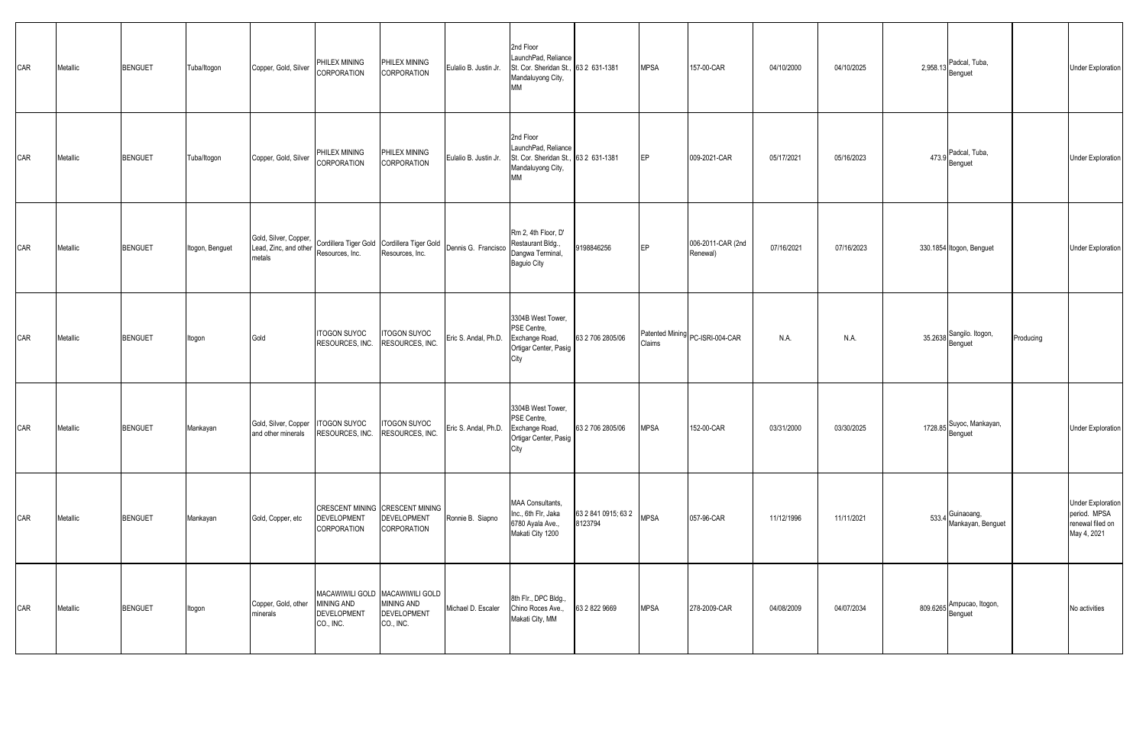| CAR | Metallic | <b>BENGUET</b> | Tuba/Itogon     | Copper, Gold, Silver                                     | PHILEX MINING<br>CORPORATION                         | PHILEX MINING<br>CORPORATION                                                            | Eulalio B. Justin Jr. | 2nd Floor<br>LaunchPad, Reliance<br>St. Cor. Sheridan St., 63 2 631-1381<br>Mandaluyong City,<br><b>MM</b> |                                | <b>MPSA</b> | 157-00-CAR                      | 04/10/2000 | 04/10/2025 | 2,958.13 Padcal, Tuba,                |           | <b>Under Exploration</b>                                                    |
|-----|----------|----------------|-----------------|----------------------------------------------------------|------------------------------------------------------|-----------------------------------------------------------------------------------------|-----------------------|------------------------------------------------------------------------------------------------------------|--------------------------------|-------------|---------------------------------|------------|------------|---------------------------------------|-----------|-----------------------------------------------------------------------------|
| CAR | Metallic | <b>BENGUET</b> | Tuba/Itogon     | Copper, Gold, Silver                                     | PHILEX MINING<br>CORPORATION                         | PHILEX MINING<br><b>CORPORATION</b>                                                     | Eulalio B. Justin Jr. | 2nd Floor<br>LaunchPad, Reliance<br>St. Cor. Sheridan St., 63 2 631-1381<br>Mandaluyong City,<br>МM        |                                | EP          | 009-2021-CAR                    | 05/17/2021 | 05/16/2023 | 473.9 Padcal, Tuba,<br>Benguet        |           | <b>Under Exploration</b>                                                    |
| CAR | Metallic | <b>BENGUET</b> | Itogon, Benguet | Gold, Silver, Copper,<br>Lead, Zinc, and other<br>metals | Resources, Inc.                                      | Cordillera Tiger Gold Cordillera Tiger Gold<br>Resources, Inc.                          | Dennis G. Francisco   | Rm 2, 4th Floor, D'<br>Restaurant Bldg.,<br>Dangwa Terminal,<br>Baguio City                                | 9198846256                     | EP          | 006-2011-CAR (2nd<br>Renewal)   | 07/16/2021 | 07/16/2023 | 330.1854 Itogon, Benguet              |           | <b>Under Exploration</b>                                                    |
| CAR | Metallic | <b>BENGUET</b> | Itogon          | Gold                                                     | <b>ITOGON SUYOC</b><br>RESOURCES, INC.               | <b>ITOGON SUYOC</b><br>RESOURCES, INC.                                                  | Eric S. Andal, Ph.D.  | 3304B West Tower,<br>PSE Centre.<br>Exchange Road,<br>Ortigar Center, Pasig<br>City                        | 63 2 706 2805/06               | Claims      | Patented Mining PC-ISRI-004-CAR | N.A.       | N.A.       | 35.2638 Sangilo. Itogon,              | Producing |                                                                             |
| CAR | Metallic | <b>BENGUET</b> | Mankayan        | Gold, Silver, Copper<br>and other minerals               | <b>ITOGON SUYOC</b><br>RESOURCES, INC.               | <b>ITOGON SUYOC</b><br>RESOURCES, INC.                                                  | Eric S. Andal, Ph.D.  | 3304B West Tower,<br>PSE Centre,<br>Exchange Road,<br>Ortigar Center, Pasig<br>City                        | 63 2 706 2805/06               | <b>MPSA</b> | 152-00-CAR                      | 03/31/2000 | 03/30/2025 | 1728.85 Suyoc, Mankayan,<br>Benguet   |           | <b>Under Exploration</b>                                                    |
| CAR | Metallic | <b>BENGUET</b> | Mankayan        | Gold, Copper, etc                                        | <b>DEVELOPMENT</b><br>CORPORATION                    | CRESCENT MINING CRESCENT MINING<br><b>DEVELOPMENT</b><br><b>CORPORATION</b>             | Ronnie B. Siapno      | MAA Consultants,<br>Inc., 6th Flr, Jaka<br>6780 Ayala Ave.,<br>Makati City 1200                            | 63 2 841 0915; 63 2<br>8123794 | <b>MPSA</b> | 057-96-CAR                      | 11/12/1996 | 11/11/2021 | 533.4 Guinaoang,<br>Mankayan, Benguet |           | <b>Under Exploration</b><br>period. MPSA<br>renewal filed on<br>May 4, 2021 |
| CAR | Metallic | <b>BENGUET</b> | Itogon          | Copper, Gold, other<br>minerals                          | <b>MINING AND</b><br><b>DEVELOPMENT</b><br>CO., INC. | MACAWIWILI GOLD MACAWIWILI GOLD<br><b>MINING AND</b><br><b>DEVELOPMENT</b><br>CO., INC. | Michael D. Escaler    | 8th Flr., DPC Bldg.,<br>Chino Roces Ave.,<br>Makati City, MM                                               | 63 2 822 9669                  | <b>MPSA</b> | 278-2009-CAR                    | 04/08/2009 | 04/07/2034 | 809.6265 Ampucao, Itogon,             |           | No activities                                                               |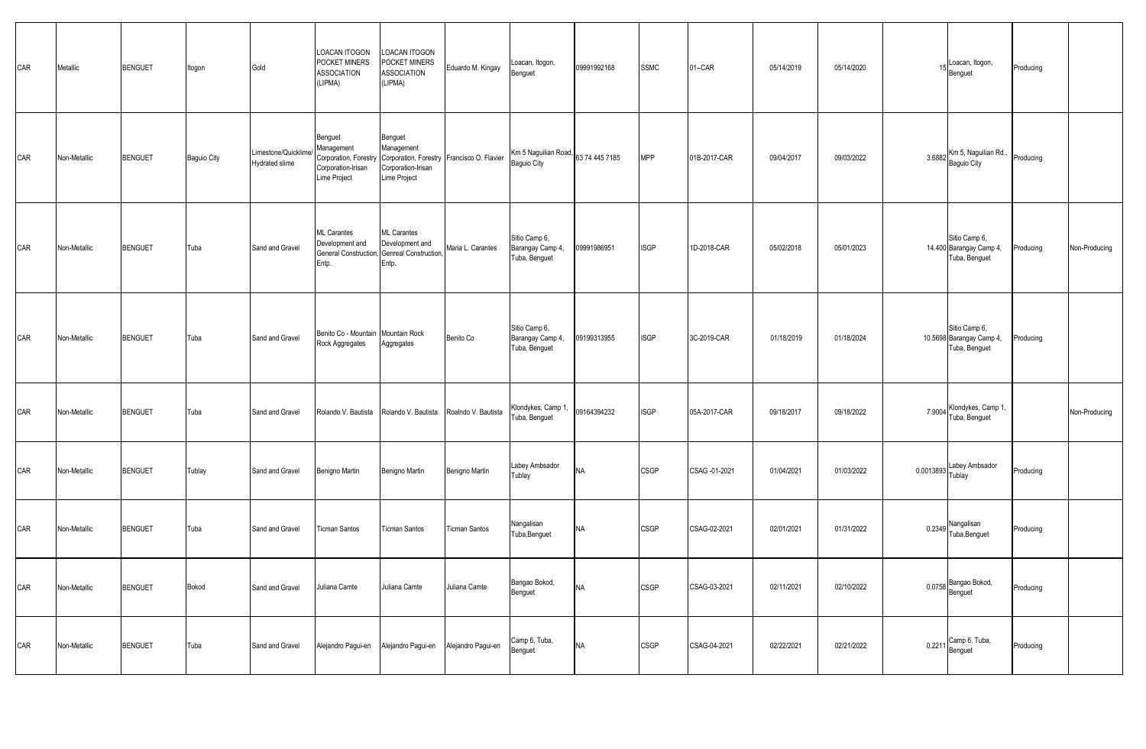| CAR | Metallic     | <b>BENGUET</b> | Itogon      | Gold                                   | LOACAN ITOGON<br>POCKET MINERS<br><b>ASSOCIATION</b><br>(LIPMA)                      | LOACAN ITOGON<br>POCKET MINERS<br><b>ASSOCIATION</b><br>(LIPMA)                                           | Eduardo M. Kingay    | Loacan, Itogon,<br>Benguet                         | 09991992168 | <b>SSMC</b> | $01 - CAR$    | 05/14/2019 | 05/14/2020 |           | Loacan, Itogon,<br>Benguet                                 | Producing                  |
|-----|--------------|----------------|-------------|----------------------------------------|--------------------------------------------------------------------------------------|-----------------------------------------------------------------------------------------------------------|----------------------|----------------------------------------------------|-------------|-------------|---------------|------------|------------|-----------|------------------------------------------------------------|----------------------------|
| CAR | Non-Metallic | <b>BENGUET</b> | Baguio City | Limestone/Quicklime/<br>Hydrated slime | Benguet<br>Management<br>Corporation, Forestry<br>Corporation-Irisan<br>Lime Project | Benguet<br>Management<br>Corporation, Forestry Francisco O. Flavier<br>Corporation-Irisan<br>Lime Project |                      | Km 5 Naguilian Road, 63 74 445 7185<br>Baguio City |             | <b>MPP</b>  | 01B-2017-CAR  | 09/04/2017 | 09/03/2022 | 3.6882    | Km 5, Naguilian Rd.,<br>Baguio City                        | Producing                  |
| CAR | Non-Metallic | <b>BENGUET</b> | Tuba        | Sand and Gravel                        | <b>ML</b> Carantes<br>Development and<br>Entp.                                       | <b>ML</b> Carantes<br>Development and<br>General Construction, Genreal Construction,<br>Entp.             | Maria L. Carantes    | Sitio Camp 6,<br>Barangay Camp 4,<br>Tuba, Benguet | 09991986951 | <b>ISGP</b> | 1D-2018-CAR   | 05/02/2018 | 05/01/2023 |           | Sitio Camp 6,<br>14.400 Barangay Camp 4,<br>Tuba, Benguet  | Producing<br>Non-Producing |
| CAR | Non-Metallic | <b>BENGUET</b> | Tuba        | Sand and Gravel                        | Benito Co - Mountain Mountain Rock<br>Rock Aggregates                                | Aggregates                                                                                                | Benito Co            | Sitio Camp 6,<br>Barangay Camp 4,<br>Tuba, Benguet | 09199313955 | <b>ISGP</b> | 3C-2019-CAR   | 01/18/2019 | 01/18/2024 |           | Sitio Camp 6,<br>10.5698 Barangay Camp 4,<br>Tuba, Benguet | Producing                  |
| CAR | Non-Metallic | <b>BENGUET</b> | Tuba        | Sand and Gravel                        |                                                                                      | Rolando V. Bautista Rolando V. Bautista                                                                   | Roalndo V. Bautista  | Klondykes, Camp 1,<br>Tuba, Benguet                | 09164394232 | <b>ISGP</b> | 05A-2017-CAR  | 09/18/2017 | 09/18/2022 | 7.9004    | Klondykes, Camp 1,<br>Tuba, Benguet                        | Non-Producing              |
| CAR | Non-Metallic | <b>BENGUET</b> | Tublay      | Sand and Gravel                        | Benigno Martin                                                                       | Benigno Martin                                                                                            | Benigno Martin       | Labey Ambsador<br>Tublay                           | <b>NA</b>   | <b>CSGP</b> | CSAG -01-2021 | 01/04/2021 | 01/03/2022 | 0.0013893 | Labey Ambsador<br>Tublay                                   | Producing                  |
| CAR | Non-Metallic | <b>BENGUET</b> | Tuba        | Sand and Gravel                        | <b>Ticman Santos</b>                                                                 | <b>Ticman Santos</b>                                                                                      | <b>Ticman Santos</b> | Nangalisan<br>Tuba, Benguet                        | <b>NA</b>   | <b>CSGP</b> | CSAG-02-2021  | 02/01/2021 | 01/31/2022 | 0.2349    | Nangalisan<br>Tuba, Benguet                                | Producing                  |
| CAR | Non-Metallic | <b>BENGUET</b> | Bokod       | Sand and Gravel                        | Juliana Camte                                                                        | Juliana Camte                                                                                             | Juliana Camte        | Bangao Bokod,<br>Benguet                           | <b>NA</b>   | <b>CSGP</b> | CSAG-03-2021  | 02/11/2021 | 02/10/2022 |           | 0.0758 Bangao Bokod,<br>Benguet                            | Producing                  |
| CAR | Non-Metallic | <b>BENGUET</b> | Tuba        | Sand and Gravel                        | Alejandro Pagui-en                                                                   | Alejandro Pagui-en                                                                                        | Alejandro Pagui-en   | Camp 6, Tuba,<br>Benguet                           | <b>NA</b>   | <b>CSGP</b> | CSAG-04-2021  | 02/22/2021 | 02/21/2022 |           | 0.2211 Camp 6, Tuba,<br>Benguet                            | Producing                  |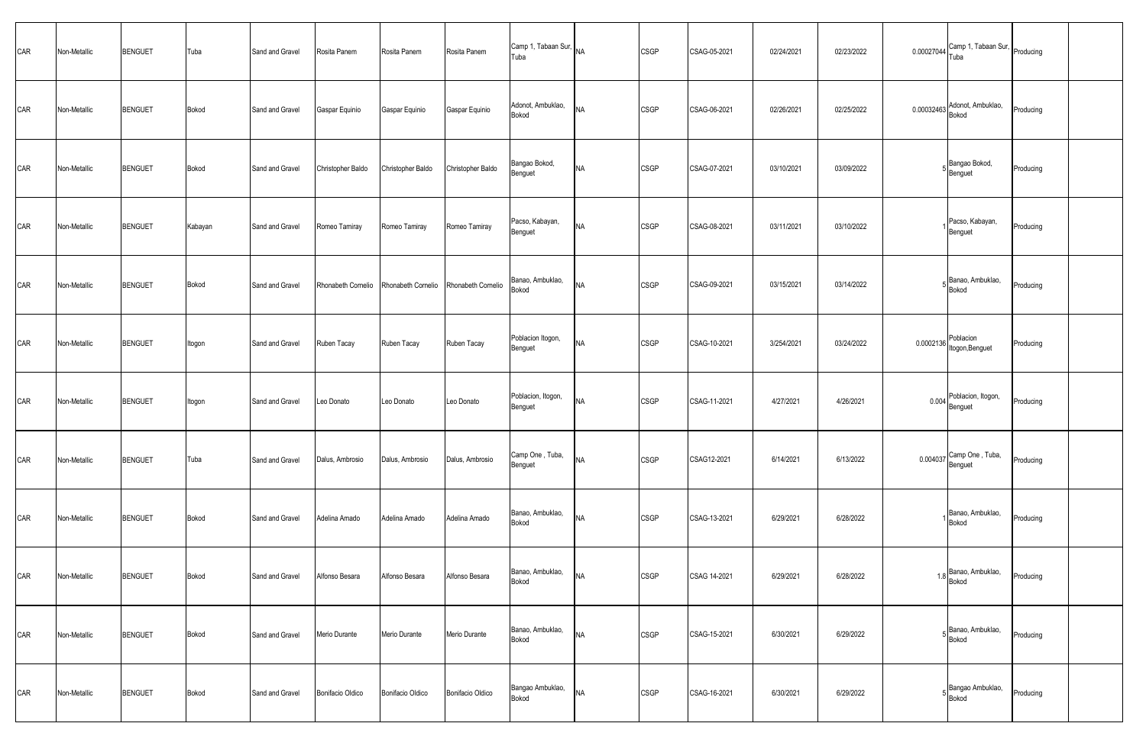| CAR | Non-Metallic | <b>BENGUET</b> | Tuba    | Sand and Gravel | Rosita Panem                          | Rosita Panem      | Rosita Panem       | Camp 1, Tabaan Sur, NA<br>Tuba |           | <b>CSGP</b> | CSAG-05-2021 | 02/24/2021 | 02/23/2022 | 0.00027044 Camp 1, Tabaan Sur, Producing |           |  |
|-----|--------------|----------------|---------|-----------------|---------------------------------------|-------------------|--------------------|--------------------------------|-----------|-------------|--------------|------------|------------|------------------------------------------|-----------|--|
| CAR | Non-Metallic | <b>BENGUET</b> | Bokod   | Sand and Gravel | Gaspar Equinio                        | Gaspar Equinio    | Gaspar Equinio     | Adonot, Ambuklao,<br>Bokod     | <b>NA</b> | <b>CSGP</b> | CSAG-06-2021 | 02/26/2021 | 02/25/2022 | 0.00032463 Adonot, Ambuklao,             | Producing |  |
| CAR | Non-Metallic | <b>BENGUET</b> | Bokod   | Sand and Gravel | Christopher Baldo                     | Christopher Baldo | Christopher Baldo  | Bangao Bokod,<br>Benguet       | <b>NA</b> | <b>CSGP</b> | CSAG-07-2021 | 03/10/2021 | 03/09/2022 | Bangao Bokod,<br>$5$ Benguet             | Producing |  |
| CAR | Non-Metallic | <b>BENGUET</b> | Kabayan | Sand and Gravel | Romeo Tamiray                         | Romeo Tamiray     | Romeo Tamiray      | Pacso, Kabayan,<br>Benguet     | <b>NA</b> | <b>CSGP</b> | CSAG-08-2021 | 03/11/2021 | 03/10/2022 | Pacso, Kabayan,<br>Benguet               | Producing |  |
| CAR | Non-Metallic | <b>BENGUET</b> | Bokod   | Sand and Gravel | Rhonabeth Cornelio Rhonabeth Cornelio |                   | Rhonabeth Cornelio | Banao, Ambuklao,<br>Bokod      | <b>NA</b> | <b>CSGP</b> | CSAG-09-2021 | 03/15/2021 | 03/14/2022 | 5 Banao, Ambuklao,<br>Bokod              | Producing |  |
| CAR | Non-Metallic | <b>BENGUET</b> | Itogon  | Sand and Gravel | Ruben Tacay                           | Ruben Tacay       | Ruben Tacay        | Poblacion Itogon,<br>Benguet   | <b>NA</b> | <b>CSGP</b> | CSAG-10-2021 | 3/254/2021 | 03/24/2022 | 0.0002136 Poblacion<br>Itogon, Benguet   | Producing |  |
| CAR | Non-Metallic | <b>BENGUET</b> | Itogon  | Sand and Gravel | Leo Donato                            | Leo Donato        | Leo Donato         | Poblacion, Itogon,<br>Benguet  | <b>NA</b> | <b>CSGP</b> | CSAG-11-2021 | 4/27/2021  | 4/26/2021  | 0.004 Poblacion, Itogon,                 | Producing |  |
| CAR | Non-Metallic | <b>BENGUET</b> | Tuba    | Sand and Gravel | Dalus, Ambrosio                       | Dalus, Ambrosio   | Dalus, Ambrosio    | Camp One, Tuba,<br>Benguet     | <b>NA</b> | <b>CSGP</b> | CSAG12-2021  | 6/14/2021  | 6/13/2022  | 0.004037 Camp One, Tuba,<br>Benguet      | Producing |  |
| CAR | Non-Metallic | <b>BENGUET</b> | Bokod   | Sand and Gravel | Adelina Amado                         | Adelina Amado     | Adelina Amado      | Banao, Ambuklao,<br>Bokod      | <b>NA</b> | <b>CSGP</b> | CSAG-13-2021 | 6/29/2021  | 6/28/2022  | Banao, Ambuklao,<br>Bokod                | Producing |  |
| CAR | Non-Metallic | <b>BENGUET</b> | Bokod   | Sand and Gravel | Alfonso Besara                        | Alfonso Besara    | Alfonso Besara     | Banao, Ambuklao,<br>Bokod      | <b>NA</b> | <b>CSGP</b> | CSAG 14-2021 | 6/29/2021  | 6/28/2022  | 1.8 Banao, Ambuklao,<br>Bokod            | Producing |  |
| CAR | Non-Metallic | <b>BENGUET</b> | Bokod   | Sand and Gravel | Merio Durante                         | Merio Durante     | Merio Durante      | Banao, Ambuklao,<br>Bokod      | <b>NA</b> | <b>CSGP</b> | CSAG-15-2021 | 6/30/2021  | 6/29/2022  | 5 Banao, Ambuklao,<br>Bokod              | Producing |  |
| CAR | Non-Metallic | <b>BENGUET</b> | Bokod   | Sand and Gravel | <b>Bonifacio Oldico</b>               | Bonifacio Oldico  | Bonifacio Oldico   | Bangao Ambuklao,<br>Bokod      | <b>NA</b> | <b>CSGP</b> | CSAG-16-2021 | 6/30/2021  | 6/29/2022  | 5 Bangao Ambuklao,<br>Bokod              | Producing |  |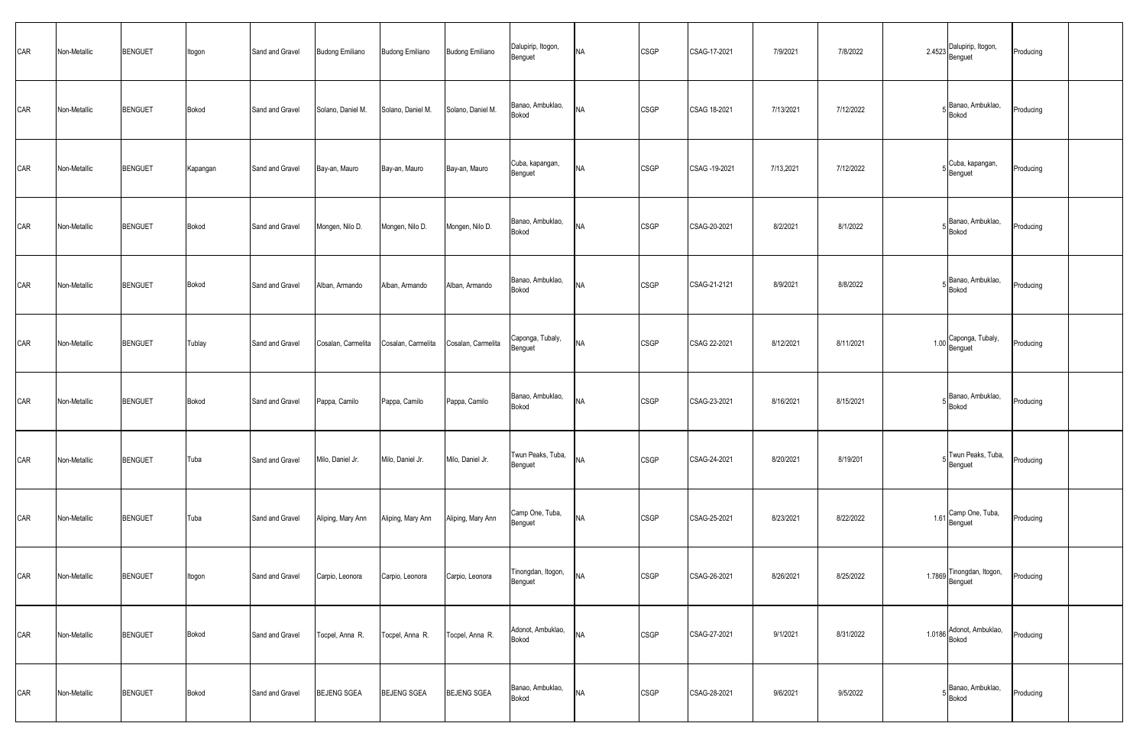| CAR | Non-Metallic | <b>BENGUET</b> | Itogon   | Sand and Gravel | <b>Budong Emiliano</b> | <b>Budong Emiliano</b> | <b>Budong Emiliano</b> | Dalupirip, Itogon,<br>Benguet | <b>NA</b> | <b>CSGP</b> | CSAG-17-2021  | 7/9/2021  | 7/8/2022  |      | 2.4523 Dalupirip, Itogon,        | Producing |  |
|-----|--------------|----------------|----------|-----------------|------------------------|------------------------|------------------------|-------------------------------|-----------|-------------|---------------|-----------|-----------|------|----------------------------------|-----------|--|
| CAR | Non-Metallic | <b>BENGUET</b> | Bokod    | Sand and Gravel | Solano, Daniel M.      | Solano, Daniel M.      | Solano, Daniel M.      | Banao, Ambuklao,<br>Bokod     | <b>NA</b> | <b>CSGP</b> | CSAG 18-2021  | 7/13/2021 | 7/12/2022 |      | Banao, Ambuklao,<br><b>Bokod</b> | Producing |  |
| CAR | Non-Metallic | <b>BENGUET</b> | Kapangan | Sand and Gravel | Bay-an, Mauro          | Bay-an, Mauro          | Bay-an, Mauro          | Cuba, kapangan,<br>Benguet    | <b>NA</b> | <b>CSGP</b> | CSAG -19-2021 | 7/13,2021 | 7/12/2022 |      | 5 Cuba, kapangan,<br>Benguet     | Producing |  |
| CAR | Non-Metallic | <b>BENGUET</b> | Bokod    | Sand and Gravel | Mongen, Nilo D.        | Mongen, Nilo D.        | Mongen, Nilo D.        | Banao, Ambuklao,<br>Bokod     | <b>NA</b> | <b>CSGP</b> | CSAG-20-2021  | 8/2/2021  | 8/1/2022  |      | Banao, Ambuklao,<br>Bokod        | Producing |  |
| CAR | Non-Metallic | <b>BENGUET</b> | Bokod    | Sand and Gravel | Alban, Armando         | Alban, Armando         | Alban, Armando         | Banao, Ambuklao,<br>Bokod     | <b>NA</b> | <b>CSGP</b> | CSAG-21-2121  | 8/9/2021  | 8/8/2022  |      | Banao, Ambuklao,<br>Bokod        | Producing |  |
| CAR | Non-Metallic | <b>BENGUET</b> | Tublay   | Sand and Gravel | Cosalan, Carmelita     | Cosalan, Carmelita     | Cosalan, Carmelita     | Caponga, Tubaly,<br>Benguet   | <b>NA</b> | <b>CSGP</b> | CSAG 22-2021  | 8/12/2021 | 8/11/2021 |      | 1.00 Caponga, Tubaly,            | Producing |  |
| CAR | Non-Metallic | <b>BENGUET</b> | Bokod    | Sand and Gravel | Pappa, Camilo          | Pappa, Camilo          | Pappa, Camilo          | Banao, Ambuklao,<br>Bokod     | <b>NA</b> | <b>CSGP</b> | CSAG-23-2021  | 8/16/2021 | 8/15/2021 |      | Banao, Ambuklao,<br>Bokod        | Producing |  |
| CAR | Non-Metallic | <b>BENGUET</b> | Tuba     | Sand and Gravel | Milo, Daniel Jr.       | Milo, Daniel Jr.       | Milo, Daniel Jr.       | Twun Peaks, Tuba,<br>Benguet  | <b>NA</b> | <b>CSGP</b> | CSAG-24-2021  | 8/20/2021 | 8/19/201  |      | Twun Peaks, Tuba,<br>Benguet     | Producing |  |
| CAR | Non-Metallic | <b>BENGUET</b> | Tuba     | Sand and Gravel | Aliping, Mary Ann      | Aliping, Mary Ann      | Aliping, Mary Ann      | Camp One, Tuba,<br>Benguet    | <b>NA</b> | <b>CSGP</b> | CSAG-25-2021  | 8/23/2021 | 8/22/2022 | 1.61 | Camp One, Tuba,<br>Benguet       | Producing |  |
| CAR | Non-Metallic | <b>BENGUET</b> | Itogon   | Sand and Gravel | Carpio, Leonora        | Carpio, Leonora        | Carpio, Leonora        | Tinongdan, Itogon,<br>Benguet | <b>NA</b> | <b>CSGP</b> | CSAG-26-2021  | 8/26/2021 | 8/25/2022 |      | 1.7869 Tinongdan, Itogon,        | Producing |  |
| CAR | Non-Metallic | <b>BENGUET</b> | Bokod    | Sand and Gravel | Tocpel, Anna R.        | Tocpel, Anna R.        | Tocpel, Anna R.        | Adonot, Ambuklao,<br>Bokod    | <b>NA</b> | <b>CSGP</b> | CSAG-27-2021  | 9/1/2021  | 8/31/2022 |      | 1.0186 Adonot, Ambuklao,         | Producing |  |
| CAR | Non-Metallic | <b>BENGUET</b> | Bokod    | Sand and Gravel | <b>BEJENG SGEA</b>     | BEJENG SGEA            | <b>BEJENG SGEA</b>     | Banao, Ambuklao,<br>Bokod     | <b>NA</b> | CSGP        | CSAG-28-2021  | 9/6/2021  | 9/5/2022  |      | Banao, Ambuklao,<br>Bokod        | Producing |  |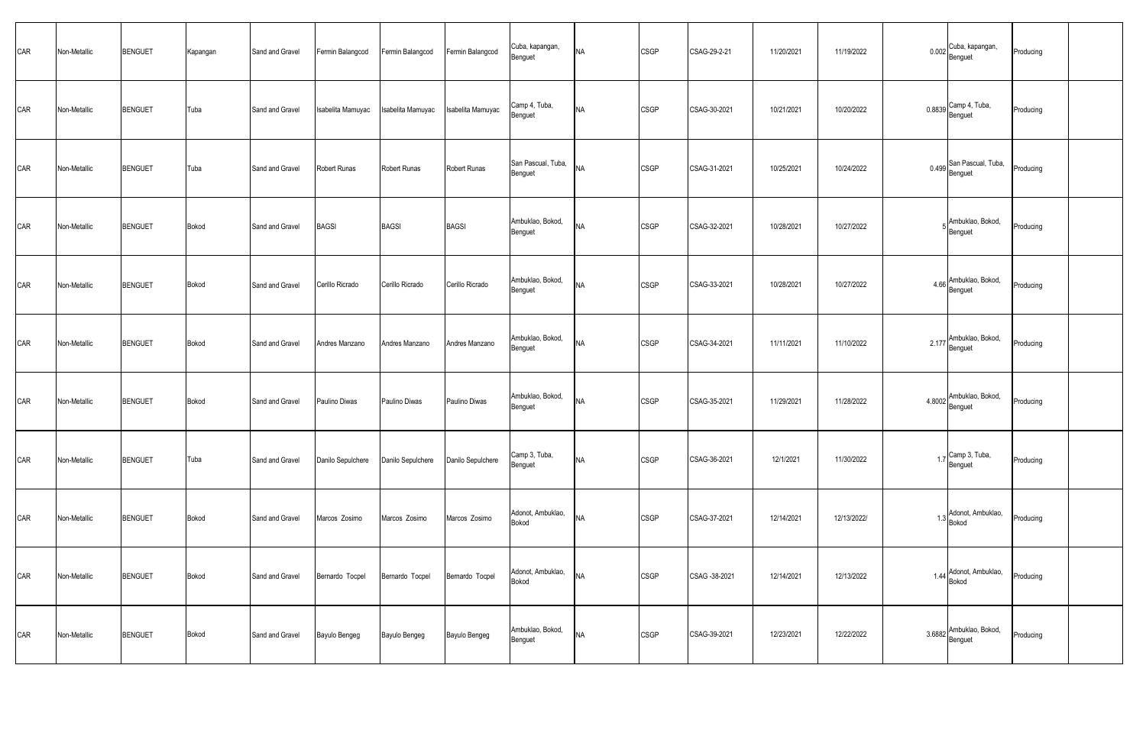| CAR | Non-Metallic | <b>BENGUET</b> | Kapangan     | Sand and Gravel | Fermin Balangcod  | Fermin Balangcod  | Fermin Balangcod  | Cuba, kapangan,<br>Benguet    | <b>NA</b> | CSGP        | CSAG-29-2-21  | 11/20/2021 | 11/19/2022  | 0.002 Cuba, kapangan,<br>Benguet    | Producing |  |
|-----|--------------|----------------|--------------|-----------------|-------------------|-------------------|-------------------|-------------------------------|-----------|-------------|---------------|------------|-------------|-------------------------------------|-----------|--|
| CAR | Non-Metallic | <b>BENGUET</b> | Tuba         | Sand and Gravel | Isabelita Mamuyac | Isabelita Mamuyac | Isabelita Mamuyac | Camp 4, Tuba,<br>Benguet      | <b>NA</b> | CSGP        | CSAG-30-2021  | 10/21/2021 | 10/20/2022  | $0.8839$ Camp 4, Tuba,<br>Benguet   | Producing |  |
| CAR | Non-Metallic | <b>BENGUET</b> | Tuba         | Sand and Gravel | Robert Runas      | Robert Runas      | Robert Runas      | San Pascual, Tuba,<br>Benguet | <b>NA</b> | <b>CSGP</b> | CSAG-31-2021  | 10/25/2021 | 10/24/2022  | 0.499 San Pascual, Tuba,<br>Benguet | Producing |  |
| CAR | Non-Metallic | <b>BENGUET</b> | Bokod        | Sand and Gravel | <b>BAGSI</b>      | <b>BAGSI</b>      | <b>BAGSI</b>      | Ambuklao, Bokod,<br>Benguet   | <b>NA</b> | CSGP        | CSAG-32-2021  | 10/28/2021 | 10/27/2022  | Ambuklao, Bokod,<br>Benguet         | Producing |  |
| CAR | Non-Metallic | <b>BENGUET</b> | Bokod        | Sand and Gravel | Cerillo Ricrado   | Cerillo Ricrado   | Cerillo Ricrado   | Ambuklao, Bokod,<br>Benguet   | <b>NA</b> | CSGP        | CSAG-33-2021  | 10/28/2021 | 10/27/2022  | 4.66 Ambuklao, Bokod,<br>Benguet    | Producing |  |
| CAR | Non-Metallic | <b>BENGUET</b> | Bokod        | Sand and Gravel | Andres Manzano    | Andres Manzano    | Andres Manzano    | Ambuklao, Bokod,<br>Benguet   | <b>NA</b> | CSGP        | CSAG-34-2021  | 11/11/2021 | 11/10/2022  | 2.177 Ambuklao, Bokod,<br>Benguet   | Producing |  |
| CAR | Non-Metallic | <b>BENGUET</b> | Bokod        | Sand and Gravel | Paulino Diwas     | Paulino Diwas     | Paulino Diwas     | Ambuklao, Bokod,<br>Benguet   | <b>NA</b> | CSGP        | CSAG-35-2021  | 11/29/2021 | 11/28/2022  | 4.8002 Ambuklao, Bokod,<br>Benguet  | Producing |  |
| CAR | Non-Metallic | <b>BENGUET</b> | Tuba         | Sand and Gravel | Danilo Sepulchere | Danilo Sepulchere | Danilo Sepulchere | Camp 3, Tuba,<br>Benguet      | <b>NA</b> | <b>CSGP</b> | CSAG-36-2021  | 12/1/2021  | 11/30/2022  | 1.7 Camp 3, Tuba,<br>Benguet        | Producing |  |
| CAR | Non-Metallic | <b>BENGUET</b> | Bokod        | Sand and Gravel | Marcos Zosimo     | Marcos Zosimo     | Marcos Zosimo     | Adonot, Ambuklao,<br>Bokod    | <b>NA</b> | CSGP        | CSAG-37-2021  | 12/14/2021 | 12/13/2022/ | 1.3 Adonot, Ambuklao,<br>Bokod      | Producing |  |
| CAR | Non-Metallic | <b>BENGUET</b> | Bokod        | Sand and Gravel | Bernardo Tocpel   | Bernardo Tocpel   | Bernardo Tocpel   | Adonot, Ambuklao,<br>Bokod    | <b>NA</b> | CSGP        | CSAG -38-2021 | 12/14/2021 | 12/13/2022  | 1.44 Adonot, Ambuklao,<br>Bokod     | Producing |  |
| CAR | Non-Metallic | <b>BENGUET</b> | <b>Bokod</b> | Sand and Gravel | Bayulo Bengeg     | Bayulo Bengeg     | Bayulo Bengeg     | Ambuklao, Bokod,<br>Benguet   | <b>NA</b> | <b>CSGP</b> | CSAG-39-2021  | 12/23/2021 | 12/22/2022  | 3.6882 Ambuklao, Bokod,<br>Benguet  | Producing |  |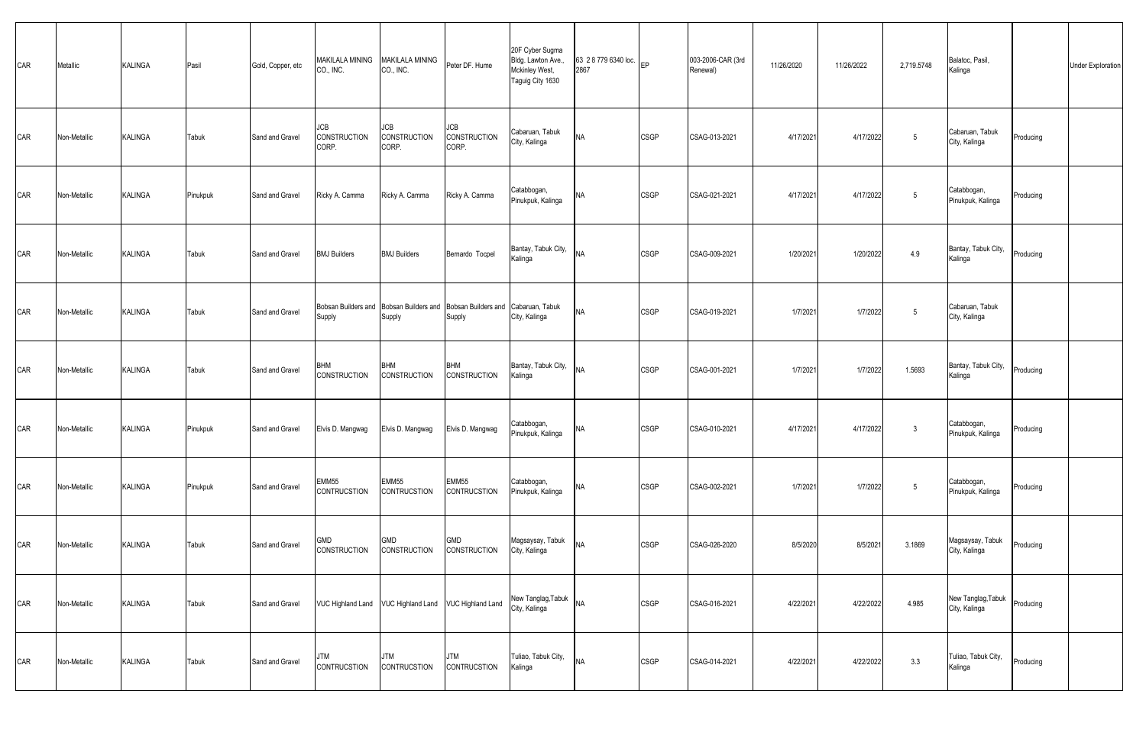| CAR | Metallic     | KALINGA        | Pasil    | Gold, Copper, etc | MAKILALA MINING<br>CO., INC.                                          | MAKILALA MINING<br>CO., INC.      | Peter DF. Hume                      | 20F Cyber Sugma<br>Bldg. Lawton Ave.,<br>Mckinley West,<br>Taguig City 1630 | 63 2 8 779 6340 loc. EP<br>2867 |             | 003-2006-CAR (3rd<br>Renewal) | 11/26/2020 | 11/26/2022 | 2,719.5748   | Balatoc, Pasil,<br>Kalinga          |           | <b>Under Exploration</b> |
|-----|--------------|----------------|----------|-------------------|-----------------------------------------------------------------------|-----------------------------------|-------------------------------------|-----------------------------------------------------------------------------|---------------------------------|-------------|-------------------------------|------------|------------|--------------|-------------------------------------|-----------|--------------------------|
| CAR | Non-Metallic | <b>KALINGA</b> | Tabuk    | Sand and Gravel   | JCB<br><b>CONSTRUCTION</b><br>CORP.                                   | JCB<br>CONSTRUCTION<br>CORP.      | JCB<br><b>CONSTRUCTION</b><br>CORP. | Cabaruan, Tabuk<br>City, Kalinga                                            | <b>NA</b>                       | <b>CSGP</b> | CSAG-013-2021                 | 4/17/2021  | 4/17/2022  | 5            | Cabaruan, Tabuk<br>City, Kalinga    | Producing |                          |
| CAR | Non-Metallic | KALINGA        | Pinukpuk | Sand and Gravel   | Ricky A. Camma                                                        | Ricky A. Camma                    | Ricky A. Camma                      | Catabbogan,<br>Pinukpuk, Kalinga                                            | <b>NA</b>                       | <b>CSGP</b> | CSAG-021-2021                 | 4/17/2021  | 4/17/2022  | 5            | Catabbogan,<br>Pinukpuk, Kalinga    | Producing |                          |
| CAR | Non-Metallic | KALINGA        | Tabuk    | Sand and Gravel   | <b>BMJ Builders</b>                                                   | <b>BMJ Builders</b>               | Bernardo Tocpel                     | Bantay, Tabuk City,<br>Kalinga                                              | <b>NA</b>                       | <b>CSGP</b> | CSAG-009-2021                 | 1/20/202   | 1/20/2022  | 4.9          | Bantay, Tabuk City,<br>Kalinga      | Producing |                          |
| CAR | Non-Metallic | KALINGA        | Tabuk    | Sand and Gravel   | Bobsan Builders and Bobsan Builders and Bobsan Builders and<br>Supply | Supply                            | Supply                              | Cabaruan, Tabuk<br>City, Kalinga                                            | <b>NA</b>                       | <b>CSGP</b> | CSAG-019-2021                 | 1/7/2021   | 1/7/2022   | 5            | Cabaruan, Tabuk<br>City, Kalinga    |           |                          |
| CAR | Non-Metallic | KALINGA        | Tabuk    | Sand and Gravel   | <b>BHM</b><br><b>CONSTRUCTION</b>                                     | <b>BHM</b><br><b>CONSTRUCTION</b> | <b>BHM</b><br>CONSTRUCTION          | Bantay, Tabuk City,<br>Kalinga                                              | <b>NA</b>                       | <b>CSGP</b> | CSAG-001-2021                 | 1/7/2021   | 1/7/2022   | 1.5693       | Bantay, Tabuk City,<br>Kalinga      | Producing |                          |
| CAR | Non-Metallic | KALINGA        | Pinukpuk | Sand and Gravel   | Elvis D. Mangwag                                                      | Elvis D. Mangwag                  | Elvis D. Mangwag                    | Catabbogan,<br>Pinukpuk, Kalinga                                            | <b>NA</b>                       | <b>CSGP</b> | CSAG-010-2021                 | 4/17/2021  | 4/17/2022  | $\mathbf{3}$ | Catabbogan,<br>Pinukpuk, Kalinga    | Producing |                          |
| CAR | Non-Metallic | KALINGA        | Pinukpuk | Sand and Gravel   | EMM55<br>CONTRUCSTION                                                 | EMM55<br><b>CONTRUCSTION</b>      | EMM55<br>CONTRUCSTION               | Catabbogan,<br>Pinukpuk, Kalinga                                            | <b>NA</b>                       | <b>CSGP</b> | CSAG-002-2021                 | 1/7/2021   | 1/7/2022   | 5            | Catabbogan,<br>Pinukpuk, Kalinga    | Producing |                          |
| CAR | Non-Metallic | <b>KALINGA</b> | Tabuk    | Sand and Gravel   | GMD<br><b>CONSTRUCTION</b>                                            | <b>GMD</b><br><b>CONSTRUCTION</b> | GMD<br><b>CONSTRUCTION</b>          | Magsaysay, Tabuk<br>City, Kalinga                                           | <b>NA</b>                       | <b>CSGP</b> | CSAG-026-2020                 | 8/5/2020   | 8/5/2021   | 3.1869       | Magsaysay, Tabuk<br>City, Kalinga   | Producing |                          |
| CAR | Non-Metallic | KALINGA        | Tabuk    | Sand and Gravel   | VUC Highland Land VUC Highland Land VUC Highland Land                 |                                   |                                     | New Tanglag, Tabuk<br>City, Kalinga                                         | <b>NA</b>                       | <b>CSGP</b> | CSAG-016-2021                 | 4/22/2021  | 4/22/2022  | 4.985        | New Tanglag, Tabuk<br>City, Kalinga | Producing |                          |
| CAR | Non-Metallic | KALINGA        | Tabuk    | Sand and Gravel   | JTM<br>CONTRUCSTION                                                   | <b>JTM</b><br>CONTRUCSTION        | JTM<br>CONTRUCSTION                 | Tuliao, Tabuk City,<br>Kalinga                                              | <b>NA</b>                       | <b>CSGP</b> | CSAG-014-2021                 | 4/22/2021  | 4/22/2022  | 3.3          | Tuliao, Tabuk City,<br>Kalinga      | Producing |                          |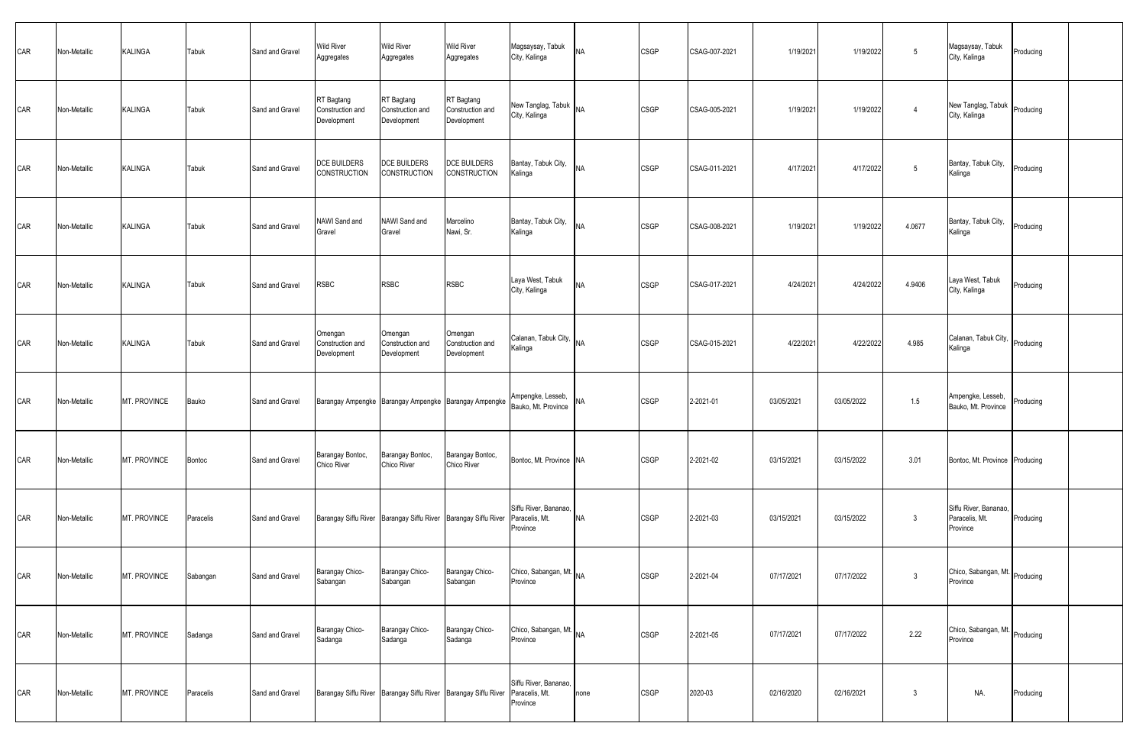| CAR | Non-Metallic | <b>KALINGA</b> | Tabuk     | Sand and Gravel | <b>Wild River</b><br>Aggregates               | <b>Wild River</b><br>Aggregates               | <b>Wild River</b><br>Aggregates                                               | Magsaysay, Tabuk<br>City, Kalinga                   | <b>NA</b> | <b>CSGP</b> | CSAG-007-2021 | 1/19/2021  | 1/19/2022  | 5              | Magsaysay, Tabuk<br>City, Kalinga                   | Producing |  |
|-----|--------------|----------------|-----------|-----------------|-----------------------------------------------|-----------------------------------------------|-------------------------------------------------------------------------------|-----------------------------------------------------|-----------|-------------|---------------|------------|------------|----------------|-----------------------------------------------------|-----------|--|
| CAR | Non-Metallic | KALINGA        | Tabuk     | Sand and Gravel | RT Bagtang<br>Construction and<br>Development | RT Bagtang<br>Construction and<br>Development | RT Bagtang<br>Construction and<br>Development                                 | New Tanglag, Tabuk<br>City, Kalinga                 | <b>NA</b> | <b>CSGP</b> | CSAG-005-2021 | 1/19/2021  | 1/19/2022  | $\overline{4}$ | New Tanglag, Tabuk<br>City, Kalinga                 | Producing |  |
| CAR | Non-Metallic | <b>KALINGA</b> | Tabuk     | Sand and Gravel | DCE BUILDERS<br>CONSTRUCTION                  | <b>DCE BUILDERS</b><br><b>CONSTRUCTION</b>    | DCE BUILDERS<br>CONSTRUCTION                                                  | Bantay, Tabuk City,<br>Kalinga                      | <b>NA</b> | CSGP        | CSAG-011-2021 | 4/17/2021  | 4/17/2022  | 5              | Bantay, Tabuk City,<br>Kalinga                      | Producing |  |
| CAR | Non-Metallic | <b>KALINGA</b> | Tabuk     | Sand and Gravel | NAWI Sand and<br>Gravel                       | NAWI Sand and<br>Gravel                       | Marcelino<br>Nawi, Sr.                                                        | Bantay, Tabuk City,<br>Kalinga                      | <b>NA</b> | <b>CSGP</b> | CSAG-008-2021 | 1/19/2021  | 1/19/2022  | 4.0677         | Bantay, Tabuk City,<br>Kalinga                      | Producing |  |
| CAR | Non-Metallic | KALINGA        | Tabuk     | Sand and Gravel | <b>RSBC</b>                                   | <b>RSBC</b>                                   | <b>RSBC</b>                                                                   | Laya West, Tabuk<br>City, Kalinga                   | <b>NA</b> | <b>CSGP</b> | CSAG-017-2021 | 4/24/2021  | 4/24/2022  | 4.9406         | Laya West, Tabuk<br>City, Kalinga                   | Producing |  |
| CAR | Non-Metallic | KALINGA        | Tabuk     | Sand and Gravel | Omengan<br>Construction and<br>Development    | Omengan<br>Construction and<br>Development    | Omengan<br>Construction and<br>Development                                    | Calanan, Tabuk City, NA<br>Kalinga                  |           | <b>CSGP</b> | CSAG-015-2021 | 4/22/2021  | 4/22/2022  | 4.985          | Calanan, Tabuk City,<br>Kalinga                     | Producing |  |
| CAR | Non-Metallic | MT. PROVINCE   | Bauko     | Sand and Gravel |                                               |                                               | Barangay Ampengke Barangay Ampengke Barangay Ampengke Milleringne, Losson,    | Ampengke, Lesseb,                                   | <b>NA</b> | <b>CSGP</b> | 2-2021-01     | 03/05/2021 | 03/05/2022 | 1.5            | Ampengke, Lesseb,<br>Bauko, Mt. Province            | Producing |  |
| CAR | Non-Metallic | MT. PROVINCE   | Bontoc    | Sand and Gravel | Barangay Bontoc,<br>Chico River               | Barangay Bontoc,<br>Chico River               | Barangay Bontoc,<br>Chico River                                               | Bontoc, Mt. Province NA                             |           | <b>CSGP</b> | 2-2021-02     | 03/15/2021 | 03/15/2022 | 3.01           | Bontoc, Mt. Province Producing                      |           |  |
| CAR | Non-Metallic | MT. PROVINCE   | Paracelis | Sand and Gravel |                                               |                                               | Barangay Siffu River Barangay Siffu River Barangay Siffu River                | Siffu River, Bananao,<br>Paracelis, Mt.<br>Province | <b>NA</b> | <b>CSGP</b> | 2-2021-03     | 03/15/2021 | 03/15/2022 | $\mathbf{3}$   | Siffu River, Bananao,<br>Paracelis, Mt.<br>Province | Producing |  |
| CAR | Non-Metallic | MT. PROVINCE   | Sabangan  | Sand and Gravel | Barangay Chico-<br>Sabangan                   | Barangay Chico-<br>Sabangan                   | Barangay Chico-<br>Sabangan                                                   | Chico, Sabangan, Mt.<br>Province                    |           | <b>CSGP</b> | 2-2021-04     | 07/17/2021 | 07/17/2022 | $\mathbf{3}$   | Chico, Sabangan, Mt. Producing<br>Province          |           |  |
| CAR | Non-Metallic | MT. PROVINCE   | Sadanga   | Sand and Gravel | Barangay Chico-<br>Sadanga                    | Barangay Chico-<br>Sadanga                    | Barangay Chico-<br>Sadanga                                                    | Chico, Sabangan, Mt. NA<br>Province                 |           | <b>CSGP</b> | 2-2021-05     | 07/17/2021 | 07/17/2022 | 2.22           | Chico, Sabangan, Mt.<br>Province                    | Producing |  |
| CAR | Non-Metallic | MT. PROVINCE   | Paracelis | Sand and Gravel |                                               |                                               | Barangay Siffu River Barangay Siffu River Barangay Siffu River Paracelis, Mt. | Siffu River, Bananao,<br>Province                   | none      | <b>CSGP</b> | 2020-03       | 02/16/2020 | 02/16/2021 | $\mathbf{3}$   | NA.                                                 | Producing |  |